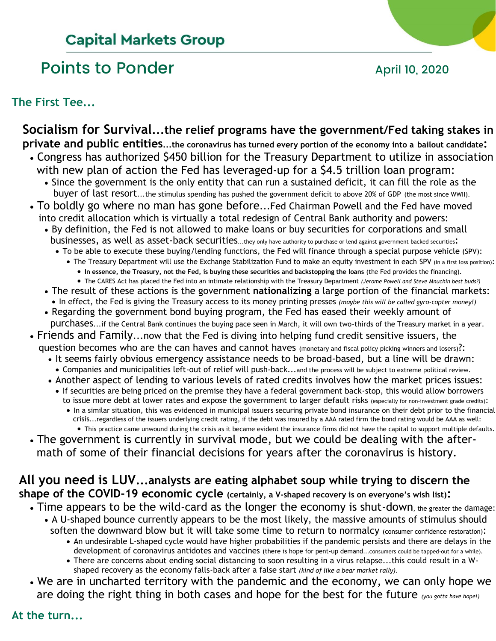# **Capital Markets Group**

# Points to Ponder and April 10, 2020



## **The First Tee...**

## **Socialism for Survival...the relief programs have the government/Fed taking stakes in private and public entities...the coronavirus has turned every portion of the economy into a bailout candidate:**

- Congress has authorized \$450 billion for the Treasury Department to utilize in association with new plan of action the Fed has leveraged-up for a \$4.5 trillion loan program:
	- Since the government is the only entity that can run a sustained deficit, it can fill the role as the buyer of last resort...the stimulus spending has pushed the government deficit to above 20% of GDP (the most since WWII).
- To boldly go where no man has gone before...Fed Chairman Powell and the Fed have moved into credit allocation which is virtually a total redesign of Central Bank authority and powers:
	- By definition, the Fed is not allowed to make loans or buy securities for corporations and small businesses, as well as asset-back securities...they only have authority to purchase or lend against government backed securities:
		- To be able to execute these buying/lending functions, the Fed will finance through a special purpose vehicle (SPV):
			- The Treasury Department will use the Exchange Stabilization Fund to make an equity investment in each SPV (in a first loss position):
				- **In essence, the Treasury, not the Fed, is buying these securities and backstopping the loans** (the Fed provides the financing).
			- The CARES Act has placed the Fed into an intimate relationship with the Treasury Department *(Jerome Powell and Steve Mnuchin best buds?)*
	- The result of these actions is the government **nationalizing** a large portion of the financial markets: • In effect, the Fed is giving the Treasury access to its money printing presses *(maybe this will be called gyro-copter money!)*
	- Regarding the government bond buying program, the Fed has eased their weekly amount of purchases...if the Central Bank continues the buying pace seen in March, it will own two-thirds of the Treasury market in a year.
- Friends and Family...now that the Fed is diving into helping fund credit sensitive issuers, the question becomes who are the can haves and cannot haves (monetary and fiscal policy picking winners and losers)?:
	- It seems fairly obvious emergency assistance needs to be broad-based, but a line will be drawn: • Companies and municipalities left-out of relief will push-back...and the process will be subject to extreme political review.
	- Another aspect of lending to various levels of rated credits involves how the market prices issues:
	- If securities are being priced on the premise they have a federal government back-stop, this would allow borrowers to issue more debt at lower rates and expose the government to larger default risks (especially for non-investment grade credits):
		- In a similar situation, this was evidenced in municipal issuers securing private bond insurance on their debt prior to the financial crisis...regardless of the issuers underlying credit rating, if the debt was insured by a AAA rated firm the bond rating would be AAA as well: • This practice came unwound during the crisis as it became evident the insurance firms did not have the capital to support multiple defaults.
- The government is currently in survival mode, but we could be dealing with the after math of some of their financial decisions for years after the coronavirus is history.

# **All you need is LUV...analysts are eating alphabet soup while trying to discern the shape of the COVID-19 economic cycle (certainly, a V-shaped recovery is on everyone's wish list):**

- Time appears to be the wild-card as the longer the economy is shut-down, the greater the damage:
	- A U-shaped bounce currently appears to be the most likely, the massive amounts of stimulus should soften the downward blow but it will take some time to return to normalcy (consumer confidence restoration):
		- An undesirable L-shaped cycle would have higher probabilities if the pandemic persists and there are delays in the development of coronavirus antidotes and vaccines (there is hope for pent-up demand...consumers could be tapped-out for a while).
		- There are concerns about ending social distancing to soon resulting in a virus relapse...this could result in a W shaped recovery as the economy falls-back after a false start *(kind of like a bear market rally)*.
- We are in uncharted territory with the pandemic and the economy, we can only hope we are doing the right thing in both cases and hope for the best for the future *(you gotta have hope!)*

# **At the turn...**